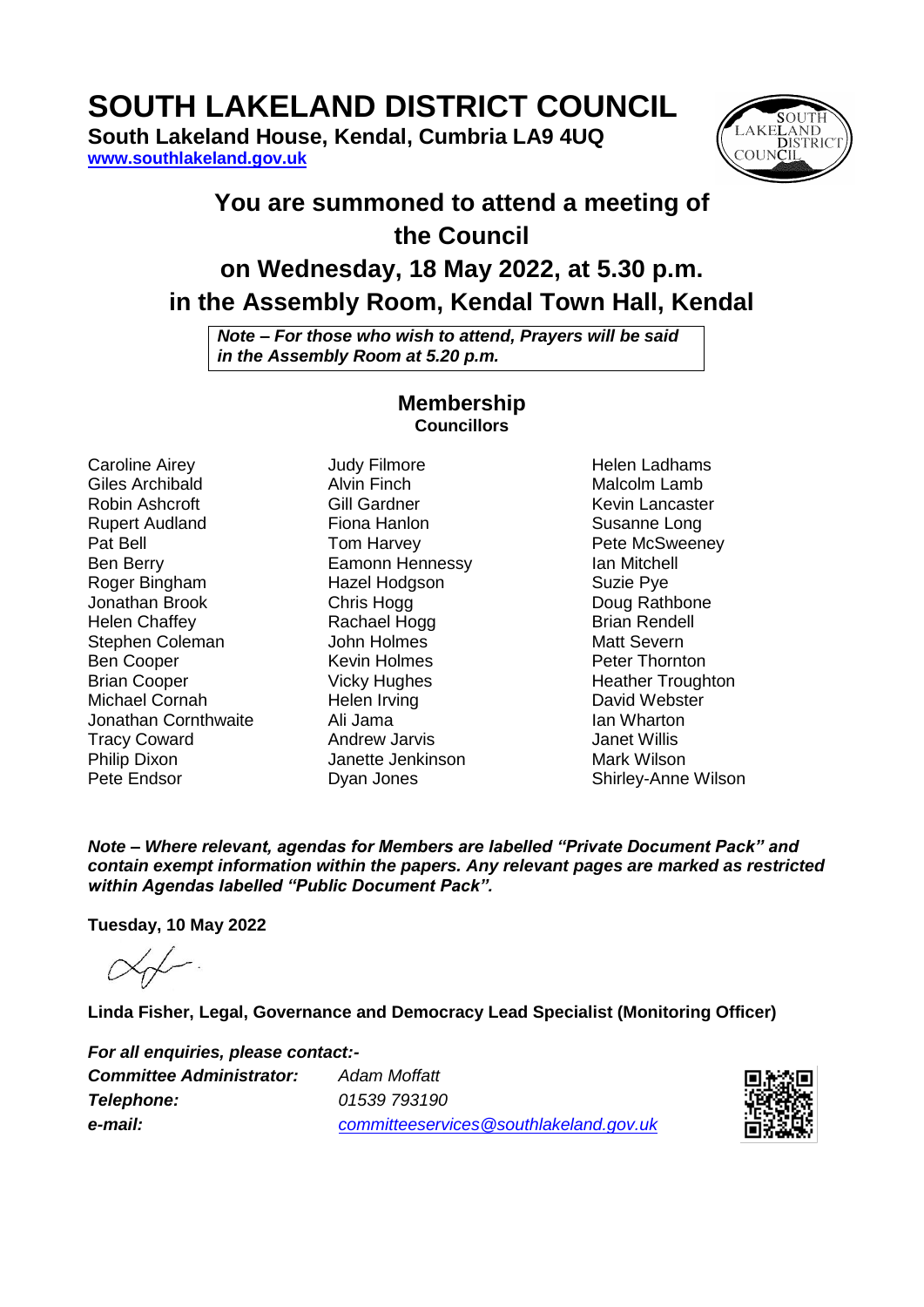# **SOUTH LAKELAND DISTRICT COUNCIL**

**South Lakeland House, Kendal, Cumbria LA9 4UQ [www.southlakeland.gov.uk](http://www.southlakeland.gov.uk/)**



# **You are summoned to attend a meeting of the Council on Wednesday, 18 May 2022, at 5.30 p.m.**

# **in the Assembly Room, Kendal Town Hall, Kendal**

*Note – For those who wish to attend, Prayers will be said in the Assembly Room at 5.20 p.m.*

### **Membership Councillors**

Caroline Airey Giles Archibald Robin Ashcroft Rupert Audland Pat Bell Ben Berry Roger Bingham Jonathan Brook Helen Chaffey Stephen Coleman Ben Cooper Brian Cooper Michael Cornah Jonathan Cornthwaite Tracy Coward Philip Dixon Pete Endsor

Judy Filmore Alvin Finch Gill Gardner Fiona Hanlon Tom Harvey Eamonn Hennessy Hazel Hodgson Chris Hogg Rachael Hogg John Holmes Kevin Holmes Vicky Hughes Helen Irving Ali Jama Andrew Jarvis Janette Jenkinson Dyan Jones

Helen Ladhams Malcolm Lamb Kevin Lancaster Susanne Long Pete McSweeney Ian Mitchell Suzie Pye Doug Rathbone Brian Rendell Matt Severn Peter Thornton Heather Troughton David Webster Ian Wharton Janet Willis Mark Wilson Shirley-Anne Wilson

*Note – Where relevant, agendas for Members are labelled "Private Document Pack" and contain exempt information within the papers. Any relevant pages are marked as restricted within Agendas labelled "Public Document Pack".*

**Tuesday, 10 May 2022**

**Linda Fisher, Legal, Governance and Democracy Lead Specialist (Monitoring Officer)**

*For all enquiries, please contact:- Committee Administrator: Adam Moffatt Telephone: 01539 793190 e-mail: committeeservices@southlakeland.gov.uk*

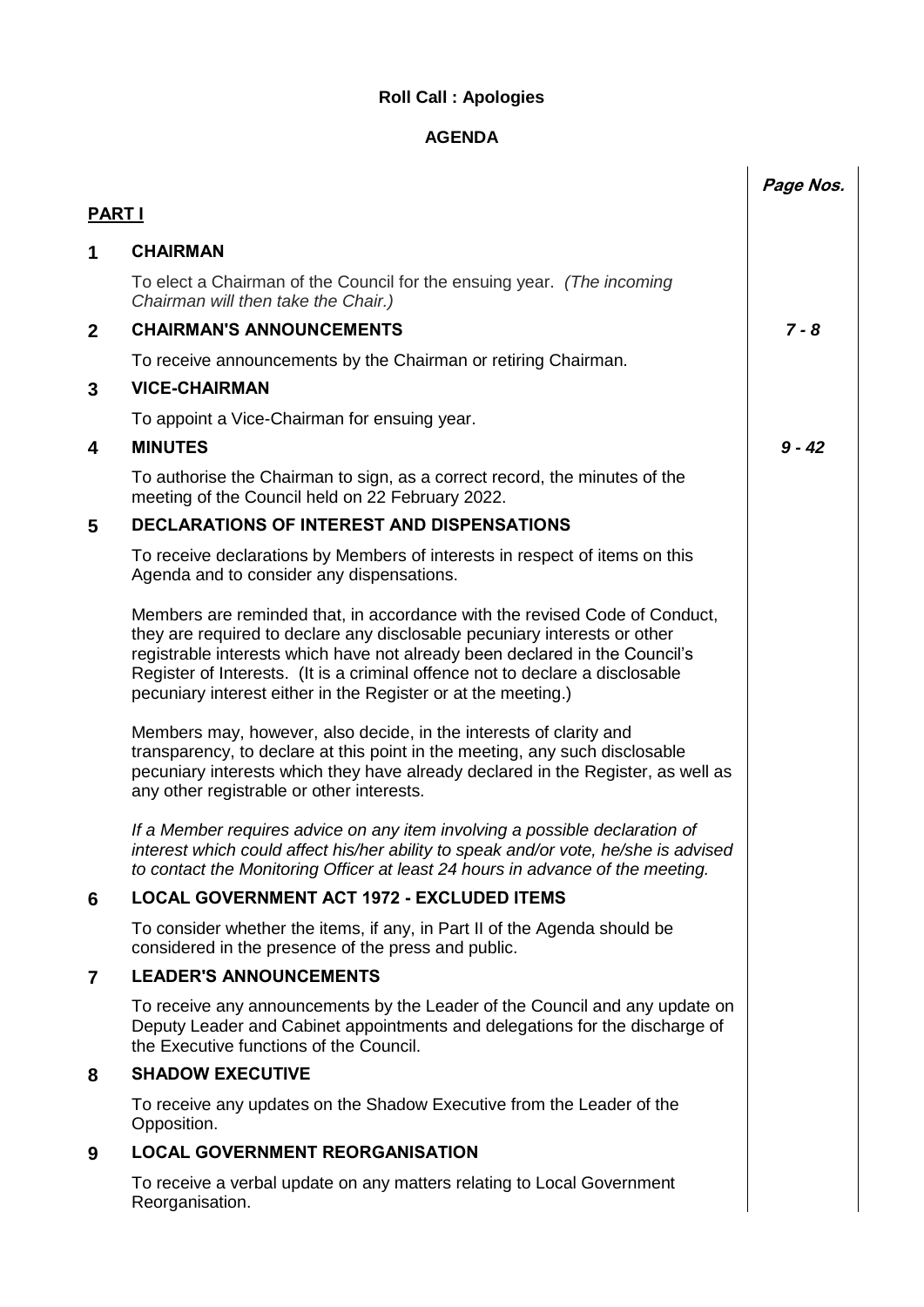# **Roll Call : Apologies**

## **AGENDA**

|               |                                                                                                                                                                                                                                                                                                                                                                                          | Page Nos. |
|---------------|------------------------------------------------------------------------------------------------------------------------------------------------------------------------------------------------------------------------------------------------------------------------------------------------------------------------------------------------------------------------------------------|-----------|
| <b>PART I</b> |                                                                                                                                                                                                                                                                                                                                                                                          |           |
| 1             | <b>CHAIRMAN</b>                                                                                                                                                                                                                                                                                                                                                                          |           |
|               | To elect a Chairman of the Council for the ensuing year. (The incoming<br>Chairman will then take the Chair.)                                                                                                                                                                                                                                                                            |           |
| $\mathbf{2}$  | <b>CHAIRMAN'S ANNOUNCEMENTS</b>                                                                                                                                                                                                                                                                                                                                                          | $7 - 8$   |
|               | To receive announcements by the Chairman or retiring Chairman.                                                                                                                                                                                                                                                                                                                           |           |
| 3             | <b>VICE-CHAIRMAN</b>                                                                                                                                                                                                                                                                                                                                                                     |           |
|               | To appoint a Vice-Chairman for ensuing year.                                                                                                                                                                                                                                                                                                                                             |           |
| 4             | <b>MINUTES</b>                                                                                                                                                                                                                                                                                                                                                                           | $9 - 42$  |
|               | To authorise the Chairman to sign, as a correct record, the minutes of the<br>meeting of the Council held on 22 February 2022.                                                                                                                                                                                                                                                           |           |
| 5             | <b>DECLARATIONS OF INTEREST AND DISPENSATIONS</b>                                                                                                                                                                                                                                                                                                                                        |           |
|               | To receive declarations by Members of interests in respect of items on this<br>Agenda and to consider any dispensations.                                                                                                                                                                                                                                                                 |           |
|               | Members are reminded that, in accordance with the revised Code of Conduct,<br>they are required to declare any disclosable pecuniary interests or other<br>registrable interests which have not already been declared in the Council's<br>Register of Interests. (It is a criminal offence not to declare a disclosable<br>pecuniary interest either in the Register or at the meeting.) |           |
|               | Members may, however, also decide, in the interests of clarity and<br>transparency, to declare at this point in the meeting, any such disclosable<br>pecuniary interests which they have already declared in the Register, as well as<br>any other registrable or other interests.                                                                                                       |           |
|               | If a Member requires advice on any item involving a possible declaration of<br>interest which could affect his/her ability to speak and/or vote, he/she is advised<br>to contact the Monitoring Officer at least 24 hours in advance of the meeting.                                                                                                                                     |           |
| 6             | <b>LOCAL GOVERNMENT ACT 1972 - EXCLUDED ITEMS</b>                                                                                                                                                                                                                                                                                                                                        |           |
|               | To consider whether the items, if any, in Part II of the Agenda should be<br>considered in the presence of the press and public.                                                                                                                                                                                                                                                         |           |
| 7             | <b>LEADER'S ANNOUNCEMENTS</b>                                                                                                                                                                                                                                                                                                                                                            |           |
|               | To receive any announcements by the Leader of the Council and any update on<br>Deputy Leader and Cabinet appointments and delegations for the discharge of<br>the Executive functions of the Council.                                                                                                                                                                                    |           |
| 8             | <b>SHADOW EXECUTIVE</b>                                                                                                                                                                                                                                                                                                                                                                  |           |
|               | To receive any updates on the Shadow Executive from the Leader of the<br>Opposition.                                                                                                                                                                                                                                                                                                     |           |
| 9             | <b>LOCAL GOVERNMENT REORGANISATION</b>                                                                                                                                                                                                                                                                                                                                                   |           |
|               | To receive a verbal update on any matters relating to Local Government<br>Reorganisation.                                                                                                                                                                                                                                                                                                |           |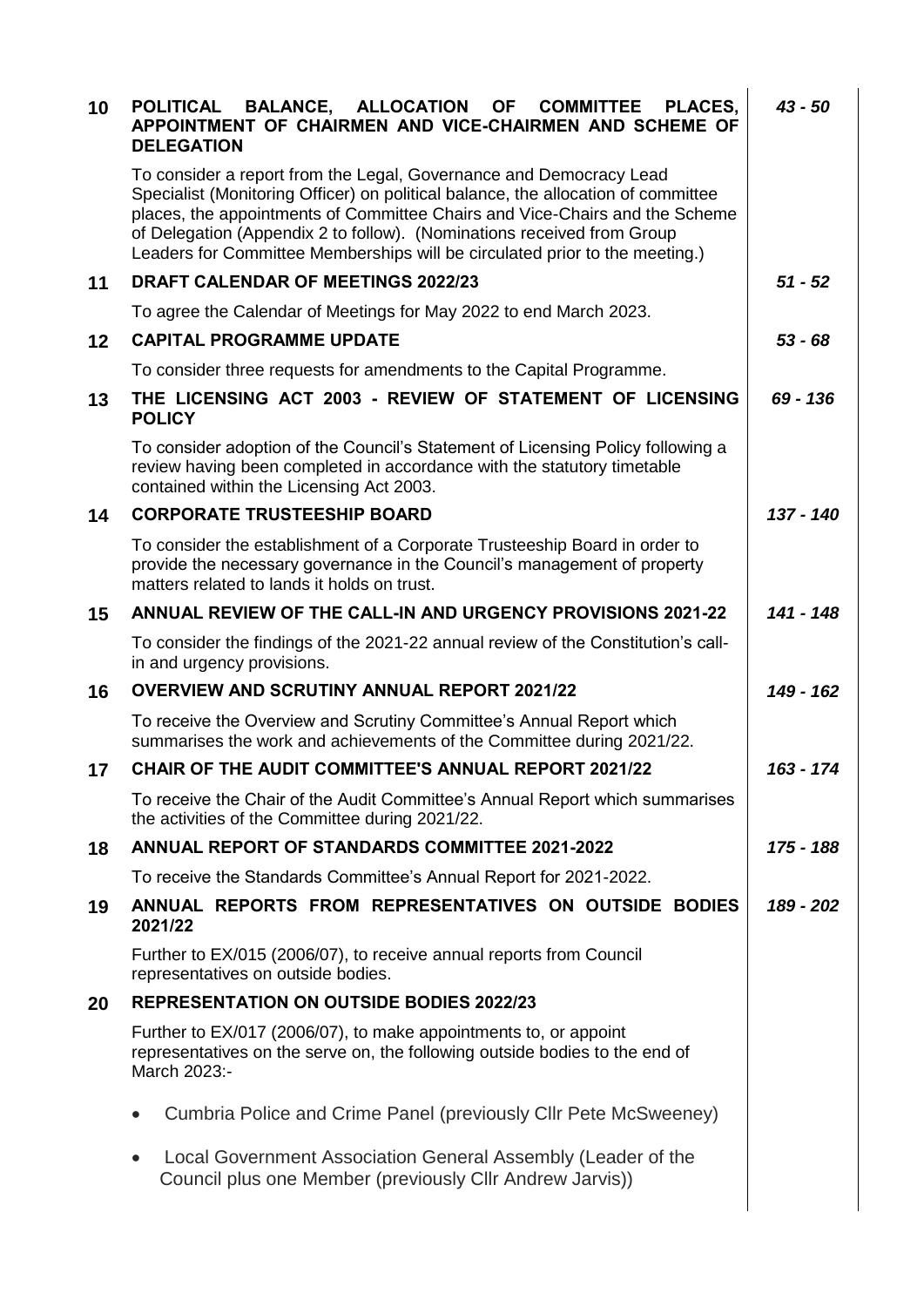| 10 | BALANCE, ALLOCATION<br><b>OF</b><br><b>COMMITTEE</b><br>PLACES.<br><b>POLITICAL</b><br>APPOINTMENT OF CHAIRMEN AND VICE-CHAIRMEN AND SCHEME OF<br><b>DELEGATION</b>                                                                                                                                                                                                                             | $43 - 50$   |
|----|-------------------------------------------------------------------------------------------------------------------------------------------------------------------------------------------------------------------------------------------------------------------------------------------------------------------------------------------------------------------------------------------------|-------------|
|    | To consider a report from the Legal, Governance and Democracy Lead<br>Specialist (Monitoring Officer) on political balance, the allocation of committee<br>places, the appointments of Committee Chairs and Vice-Chairs and the Scheme<br>of Delegation (Appendix 2 to follow). (Nominations received from Group<br>Leaders for Committee Memberships will be circulated prior to the meeting.) |             |
| 11 | <b>DRAFT CALENDAR OF MEETINGS 2022/23</b>                                                                                                                                                                                                                                                                                                                                                       | $51 - 52$   |
|    | To agree the Calendar of Meetings for May 2022 to end March 2023.                                                                                                                                                                                                                                                                                                                               |             |
| 12 | <b>CAPITAL PROGRAMME UPDATE</b>                                                                                                                                                                                                                                                                                                                                                                 | $53 - 68$   |
|    | To consider three requests for amendments to the Capital Programme.                                                                                                                                                                                                                                                                                                                             |             |
| 13 | THE LICENSING ACT 2003 - REVIEW OF STATEMENT OF LICENSING<br><b>POLICY</b>                                                                                                                                                                                                                                                                                                                      | 69 - 136    |
|    | To consider adoption of the Council's Statement of Licensing Policy following a<br>review having been completed in accordance with the statutory timetable<br>contained within the Licensing Act 2003.                                                                                                                                                                                          |             |
| 14 | <b>CORPORATE TRUSTEESHIP BOARD</b>                                                                                                                                                                                                                                                                                                                                                              | $137 - 140$ |
|    | To consider the establishment of a Corporate Trusteeship Board in order to<br>provide the necessary governance in the Council's management of property<br>matters related to lands it holds on trust.                                                                                                                                                                                           |             |
| 15 | <b>ANNUAL REVIEW OF THE CALL-IN AND URGENCY PROVISIONS 2021-22</b>                                                                                                                                                                                                                                                                                                                              | $141 - 148$ |
|    | To consider the findings of the 2021-22 annual review of the Constitution's call-<br>in and urgency provisions.                                                                                                                                                                                                                                                                                 |             |
| 16 | <b>OVERVIEW AND SCRUTINY ANNUAL REPORT 2021/22</b>                                                                                                                                                                                                                                                                                                                                              | 149 - 162   |
|    | To receive the Overview and Scrutiny Committee's Annual Report which<br>summarises the work and achievements of the Committee during 2021/22.                                                                                                                                                                                                                                                   |             |
| 17 | <b>CHAIR OF THE AUDIT COMMITTEE'S ANNUAL REPORT 2021/22</b>                                                                                                                                                                                                                                                                                                                                     | 163 - 174   |
|    | To receive the Chair of the Audit Committee's Annual Report which summarises<br>the activities of the Committee during 2021/22.                                                                                                                                                                                                                                                                 |             |
| 18 | <b>ANNUAL REPORT OF STANDARDS COMMITTEE 2021-2022</b>                                                                                                                                                                                                                                                                                                                                           | 175 - 188   |
|    | To receive the Standards Committee's Annual Report for 2021-2022.                                                                                                                                                                                                                                                                                                                               |             |
| 19 | ANNUAL REPORTS FROM REPRESENTATIVES ON OUTSIDE BODIES<br>2021/22                                                                                                                                                                                                                                                                                                                                | 189 - 202   |
|    | Further to EX/015 (2006/07), to receive annual reports from Council<br>representatives on outside bodies.                                                                                                                                                                                                                                                                                       |             |
| 20 | <b>REPRESENTATION ON OUTSIDE BODIES 2022/23</b>                                                                                                                                                                                                                                                                                                                                                 |             |
|    | Further to EX/017 (2006/07), to make appointments to, or appoint<br>representatives on the serve on, the following outside bodies to the end of<br>March 2023:-                                                                                                                                                                                                                                 |             |
|    | Cumbria Police and Crime Panel (previously Cllr Pete McSweeney)                                                                                                                                                                                                                                                                                                                                 |             |
|    | Local Government Association General Assembly (Leader of the<br>Council plus one Member (previously Cllr Andrew Jarvis))                                                                                                                                                                                                                                                                        |             |